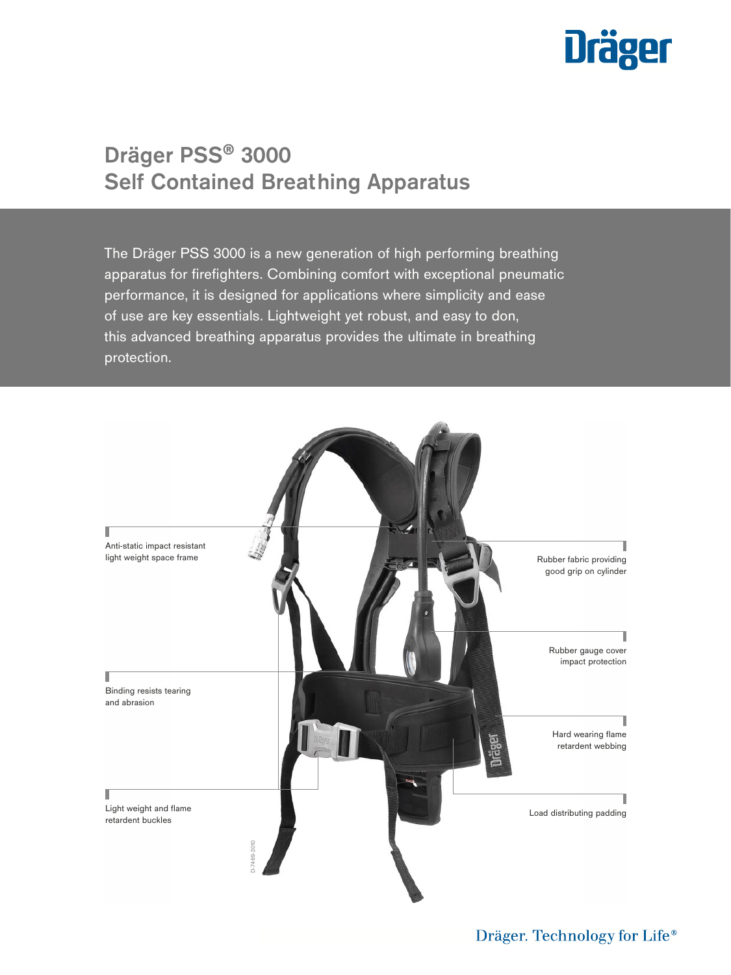# **Dräger**

# Dräger PSS® 3000 Self Contained Breathing Apparatus

The Dräger PSS 3000 is a new generation of high performing breathing apparatus for firefighters. Combining comfort with exceptional pneumatic performance, it is designed for applications where simplicity and ease of use are key essentials. Lightweight yet robust, and easy to don, this advanced breathing apparatus provides the ultimate in breathing protection.

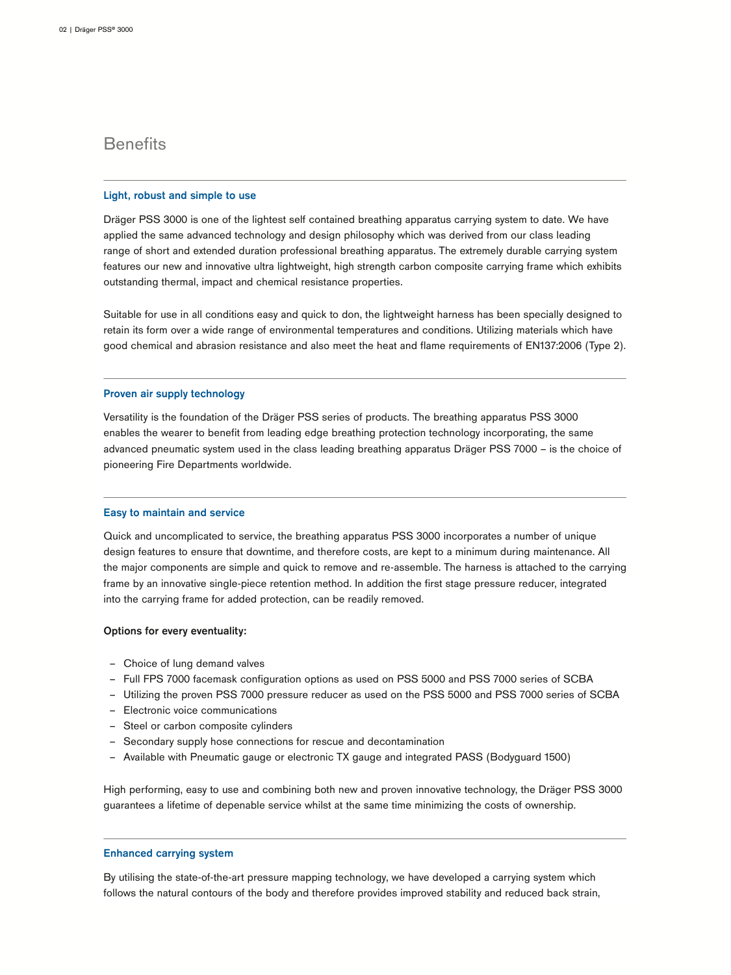# **Benefits**

### Light, robust and simple to use

Dräger PSS 3000 is one of the lightest self contained breathing apparatus carrying system to date. We have applied the same advanced technology and design philosophy which was derived from our class leading range of short and extended duration professional breathing apparatus. The extremely durable carrying system features our new and innovative ultra lightweight, high strength carbon composite carrying frame which exhibits outstanding thermal, impact and chemical resistance properties.

Suitable for use in all conditions easy and quick to don, the lightweight harness has been specially designed to retain its form over a wide range of environmental temperatures and conditions. Utilizing materials which have good chemical and abrasion resistance and also meet the heat and flame requirements of EN137:2006 (Type 2).

### Proven air supply technology

Versatility is the foundation of the Dräger PSS series of products. The breathing apparatus PSS 3000 enables the wearer to benefit from leading edge breathing protection technology incorporating, the same advanced pneumatic system used in the class leading breathing apparatus Dräger PSS 7000 – is the choice of pioneering Fire Departments worldwide.

### Easy to maintain and service

Quick and uncomplicated to service, the breathing apparatus PSS 3000 incorporates a number of unique design features to ensure that downtime, and therefore costs, are kept to a minimum during maintenance. All the major components are simple and quick to remove and re-assemble. The harness is attached to the carrying frame by an innovative single-piece retention method. In addition the first stage pressure reducer, integrated into the carrying frame for added protection, can be readily removed.

### Options for every eventuality:

- Choice of lung demand valves
- ‒ Full FPS 7000 facemask configuration options as used on PSS 5000 and PSS 7000 series of SCBA
- ‒ Utilizing the proven PSS 7000 pressure reducer as used on the PSS 5000 and PSS 7000 series of SCBA
- Electronic voice communications
- Steel or carbon composite cylinders
- Secondary supply hose connections for rescue and decontamination
- ‒ Available with Pneumatic gauge or electronic TX gauge and integrated PASS (Bodyguard 1500)

High performing, easy to use and combining both new and proven innovative technology, the Dräger PSS 3000 guarantees a lifetime of depenable service whilst at the same time minimizing the costs of ownership.

### Enhanced carrying system

By utilising the state-of-the-art pressure mapping technology, we have developed a carrying system which follows the natural contours of the body and therefore provides improved stability and reduced back strain,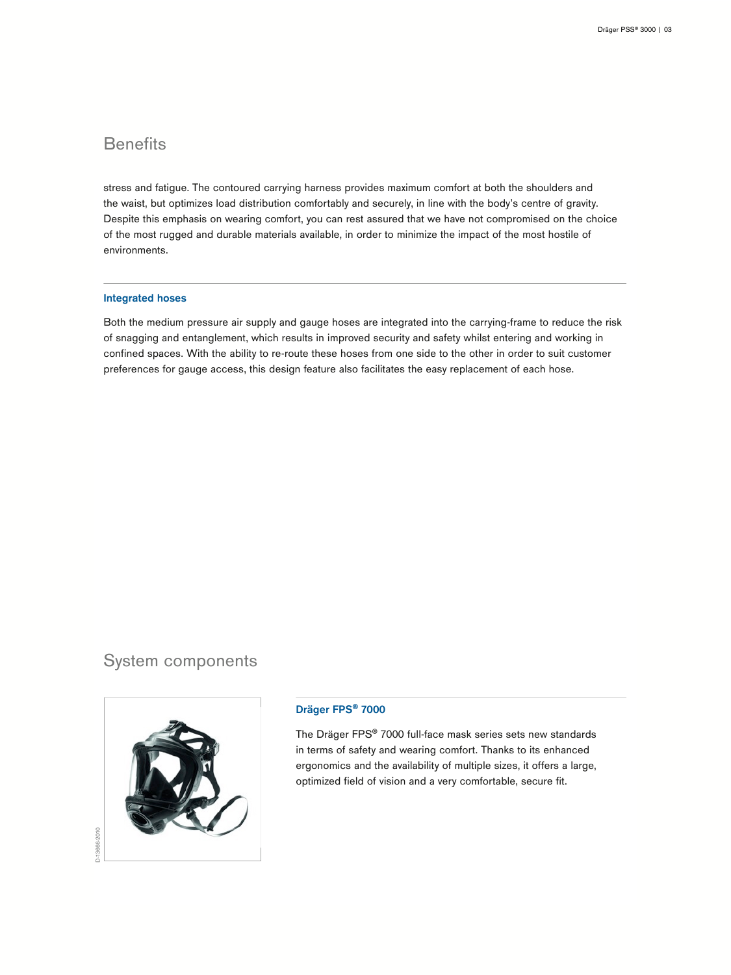# **Benefits**

stress and fatigue. The contoured carrying harness provides maximum comfort at both the shoulders and the waist, but optimizes load distribution comfortably and securely, in line with the body's centre of gravity. Despite this emphasis on wearing comfort, you can rest assured that we have not compromised on the choice of the most rugged and durable materials available, in order to minimize the impact of the most hostile of environments.

# Integrated hoses

Both the medium pressure air supply and gauge hoses are integrated into the carrying-frame to reduce the risk of snagging and entanglement, which results in improved security and safety whilst entering and working in confined spaces. With the ability to re-route these hoses from one side to the other in order to suit customer preferences for gauge access, this design feature also facilitates the easy replacement of each hose.

# System components



# Dräger FPS® 7000

The Dräger FPS® 7000 full-face mask series sets new standards in terms of safety and wearing comfort. Thanks to its enhanced ergonomics and the availability of multiple sizes, it offers a large, optimized field of vision and a very comfortable, secure fit.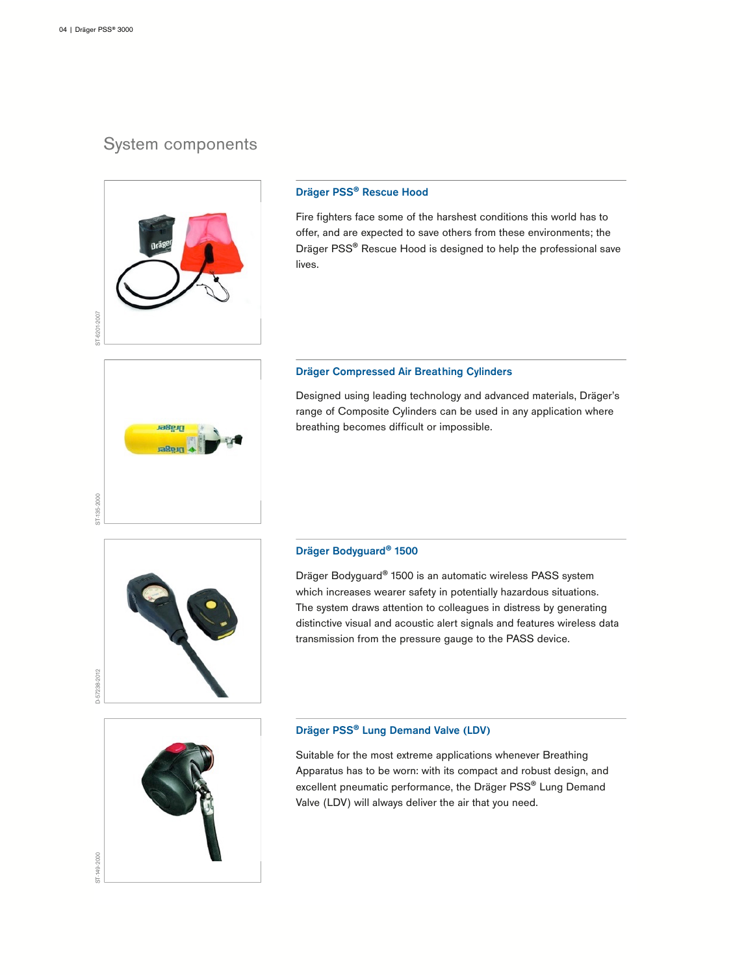# System components



навы **La** Rein

## Dräger PSS® Rescue Hood

Fire fighters face some of the harshest conditions this world has to offer, and are expected to save others from these environments; the Dräger PSS® Rescue Hood is designed to help the professional save lives.

# Dräger Compressed Air Breathing Cylinders

Designed using leading technology and advanced materials, Dräger's range of Composite Cylinders can be used in any application where breathing becomes difficult or impossible.



### Dräger Bodyguard® 1500

Dräger Bodyguard® 1500 is an automatic wireless PASS system which increases wearer safety in potentially hazardous situations. The system draws attention to colleagues in distress by generating distinctive visual and acoustic alert signals and features wireless data transmission from the pressure gauge to the PASS device.



# Dräger PSS® Lung Demand Valve (LDV)

Suitable for the most extreme applications whenever Breathing Apparatus has to be worn: with its compact and robust design, and excellent pneumatic performance, the Dräger PSS® Lung Demand Valve (LDV) will always deliver the air that you need.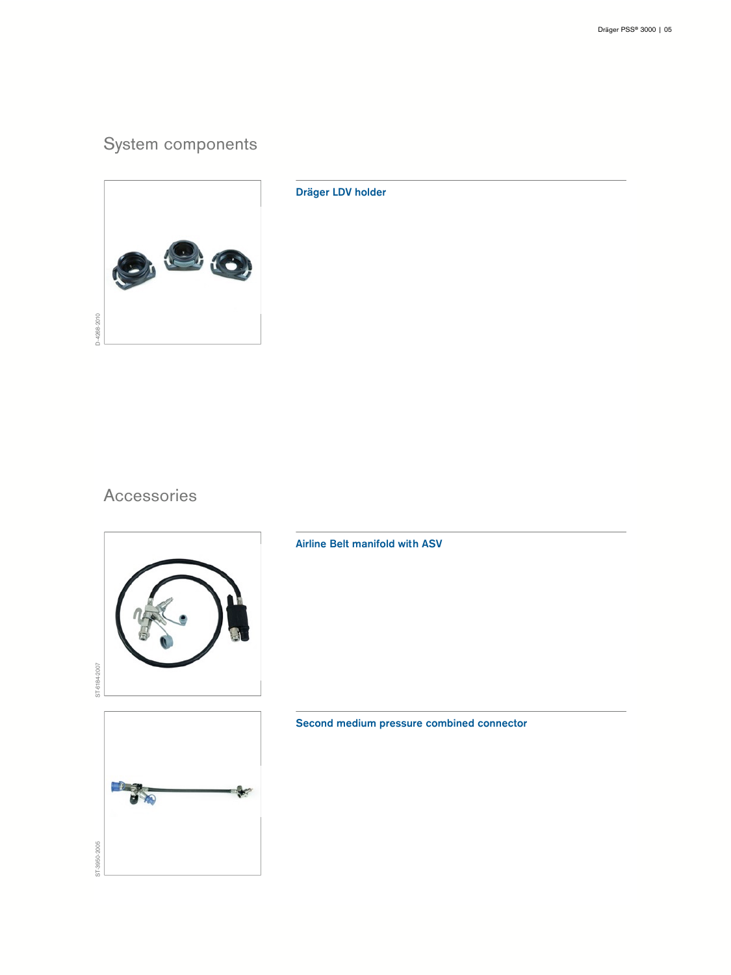# System components



Accessories



₩

ST-3950-2005

ST-3950-2005

**College Street** 

Airline Belt manifold with ASV

Dräger LDV holder

Second medium pressure combined connector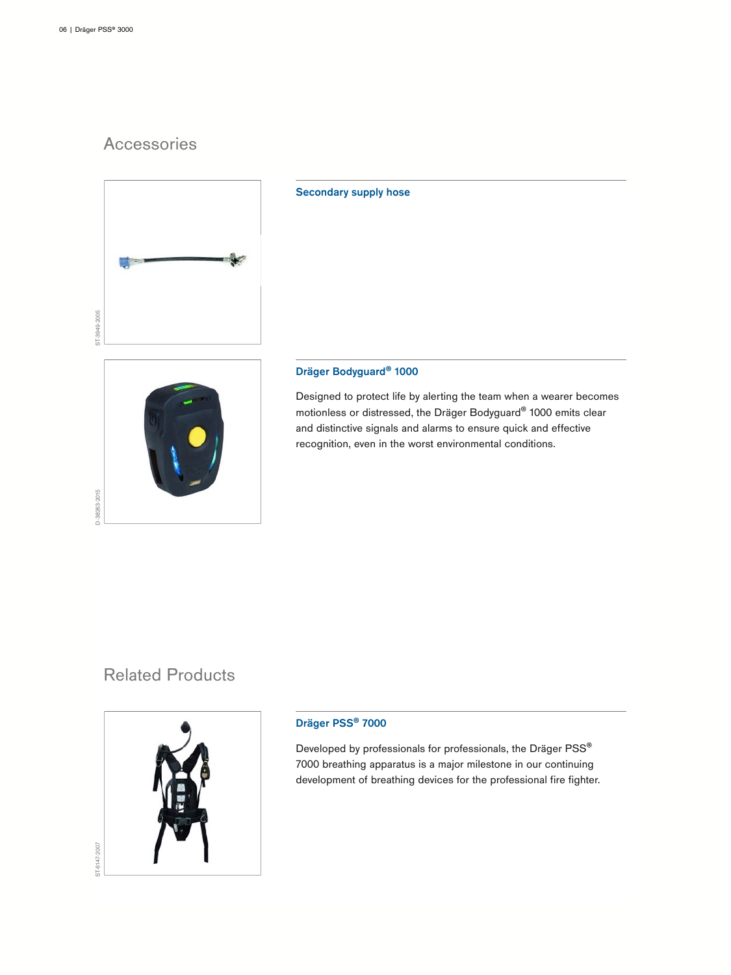D-38263-2015

D-38263-2015

# Accessories



# Secondary supply hose

# Dräger Bodyguard® 1000

Designed to protect life by alerting the team when a wearer becomes motionless or distressed, the Dräger Bodyguard® 1000 emits clear and distinctive signals and alarms to ensure quick and effective recognition, even in the worst environmental conditions.

# Related Products



# Dräger PSS® 7000

Developed by professionals for professionals, the Dräger PSS® 7000 breathing apparatus is a major milestone in our continuing development of breathing devices for the professional fire fighter.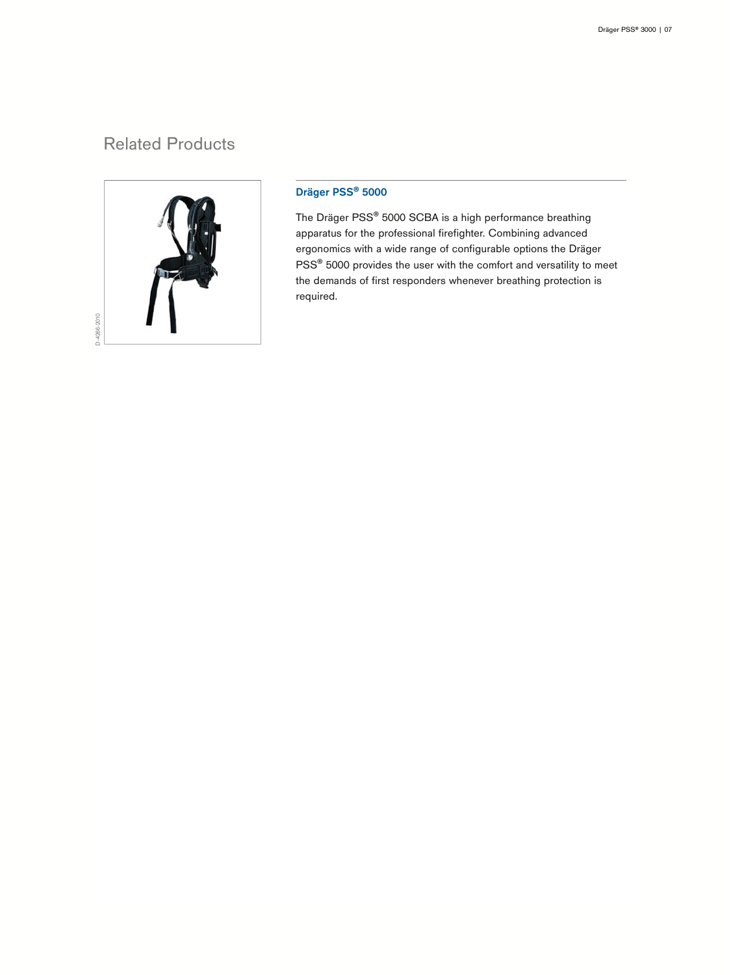# Related Products



# Dräger PSS® 5000

The Dräger PSS® 5000 SCBA is a high performance breathing apparatus for the professional firefighter. Combining advanced ergonomics with a wide range of configurable options the Dräger PSS<sup>®</sup> 5000 provides the user with the comfort and versatility to meet the demands of first responders whenever breathing protection is required.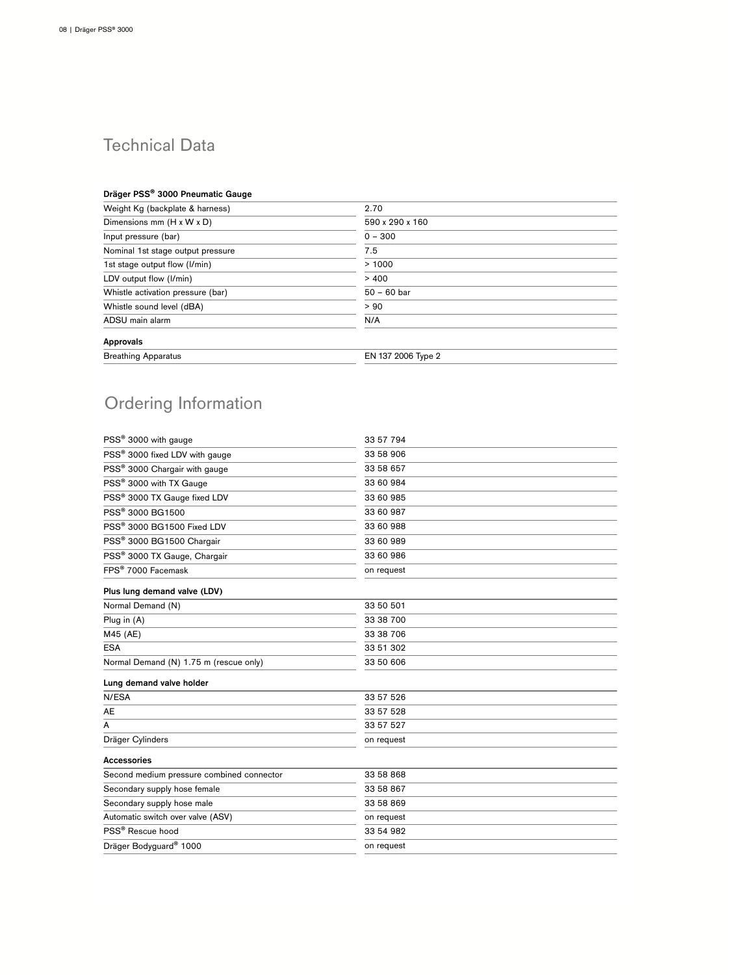# Technical Data

# Dräger PSS® 3000 Pneumatic Gauge

| Weight Kg (backplate & harness)                                                                                            | 2.70                                    |                 |
|----------------------------------------------------------------------------------------------------------------------------|-----------------------------------------|-----------------|
| Dimensions mm (H x W x D)                                                                                                  | 590 x 290 x 160                         |                 |
| Input pressure (bar)                                                                                                       | $0 - 300$                               |                 |
| Nominal 1st stage output pressure                                                                                          | 7.5                                     |                 |
| 1st stage output flow (I/min)<br>LDV output flow (I/min)<br>Whistle activation pressure (bar)<br>Whistle sound level (dBA) | >1000<br>> 400<br>$50 - 60$ bar<br>> 90 |                 |
|                                                                                                                            |                                         |                 |
|                                                                                                                            |                                         |                 |
|                                                                                                                            |                                         | ADSU main alarm |
| Approvals                                                                                                                  |                                         |                 |
| <b>Breathing Apparatus</b>                                                                                                 | EN 137 2006 Type 2                      |                 |

# Ordering Information

| PSS® 3000 with gauge                      | 33 57 794  |
|-------------------------------------------|------------|
| PSS® 3000 fixed LDV with gauge            | 33 58 906  |
| PSS <sup>®</sup> 3000 Chargair with gauge | 33 58 657  |
| PSS® 3000 with TX Gauge                   | 33 60 984  |
| PSS® 3000 TX Gauge fixed LDV              | 33 60 985  |
| PSS® 3000 BG1500                          | 33 60 987  |
| PSS® 3000 BG1500 Fixed LDV                | 33 60 988  |
| PSS® 3000 BG1500 Chargair                 | 33 60 989  |
| PSS® 3000 TX Gauge, Chargair              | 33 60 986  |
| FPS <sup>®</sup> 7000 Facemask            | on request |
| Plus lung demand valve (LDV)              |            |
| Normal Demand (N)                         | 33 50 501  |
| Plug in (A)                               | 33 38 700  |
| M45 (AE)                                  | 33 38 706  |
| <b>ESA</b>                                | 33 51 302  |
| Normal Demand (N) 1.75 m (rescue only)    | 33 50 606  |
| Lung demand valve holder                  |            |
| N/ESA                                     | 33 57 526  |
| <b>AE</b>                                 | 33 57 528  |
| А                                         | 33 57 527  |
| Dräger Cylinders                          | on request |
| <b>Accessories</b>                        |            |
| Second medium pressure combined connector | 33 58 868  |
| Secondary supply hose female              | 33 58 867  |
| Secondary supply hose male                | 33 58 869  |
| Automatic switch over valve (ASV)         | on request |
| PSS <sup>®</sup> Rescue hood              | 33 54 982  |
| Dräger Bodyguard® 1000                    | on request |
|                                           |            |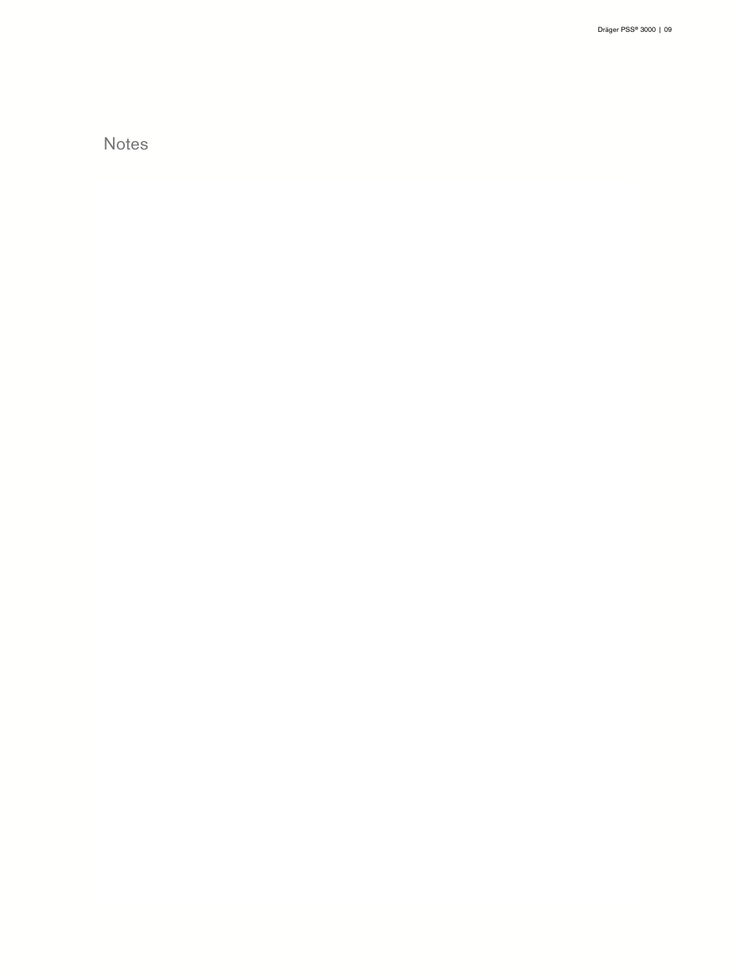Notes